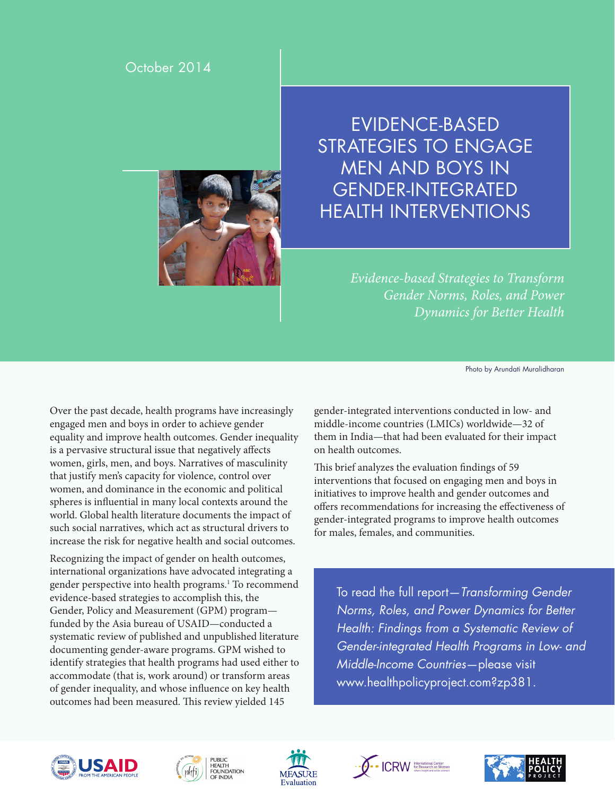#### October 2014



# EVIDENCE-BASED STRATEGIES TO ENGAGE MEN AND BOYS IN GENDER-INTEGRATED HEALTH INTERVENTIONS

*Evidence-based Strategies to Transform Gender Norms, Roles, and Power Dynamics for Better Health*

Photo by Arundati Muralidharan

Over the past decade, health programs have increasingly engaged men and boys in order to achieve gender equality and improve health outcomes. Gender inequality is a pervasive structural issue that negatively affects women, girls, men, and boys. Narratives of masculinity that justify men's capacity for violence, control over women, and dominance in the economic and political spheres is influential in many local contexts around the world. Global health literature documents the impact of such social narratives, which act as structural drivers to increase the risk for negative health and social outcomes.

Recognizing the impact of gender on health outcomes, international organizations have advocated integrating a gender perspective into health programs.<sup>1</sup> To recommend evidence-based strategies to accomplish this, the Gender, Policy and Measurement (GPM) program funded by the Asia bureau of USAID—conducted a systematic review of published and unpublished literature documenting gender-aware programs. GPM wished to identify strategies that health programs had used either to accommodate (that is, work around) or transform areas of gender inequality, and whose influence on key health outcomes had been measured. This review yielded 145

gender-integrated interventions conducted in low- and middle-income countries (LMICs) worldwide—32 of them in India—that had been evaluated for their impact on health outcomes.

This brief analyzes the evaluation findings of 59 interventions that focused on engaging men and boys in initiatives to improve health and gender outcomes and offers recommendations for increasing the effectiveness of gender-integrated programs to improve health outcomes for males, females, and communities.

To read the full report—*Transforming Gender Norms, Roles, and Power Dynamics for Better Health: Findings from a Systematic Review of Gender-integrated Health Programs in Low- and Middle-Income Countries*—please visit [www.healthpolicyproject.com?zp381](www.healthpolicyproject.com?zp=381).